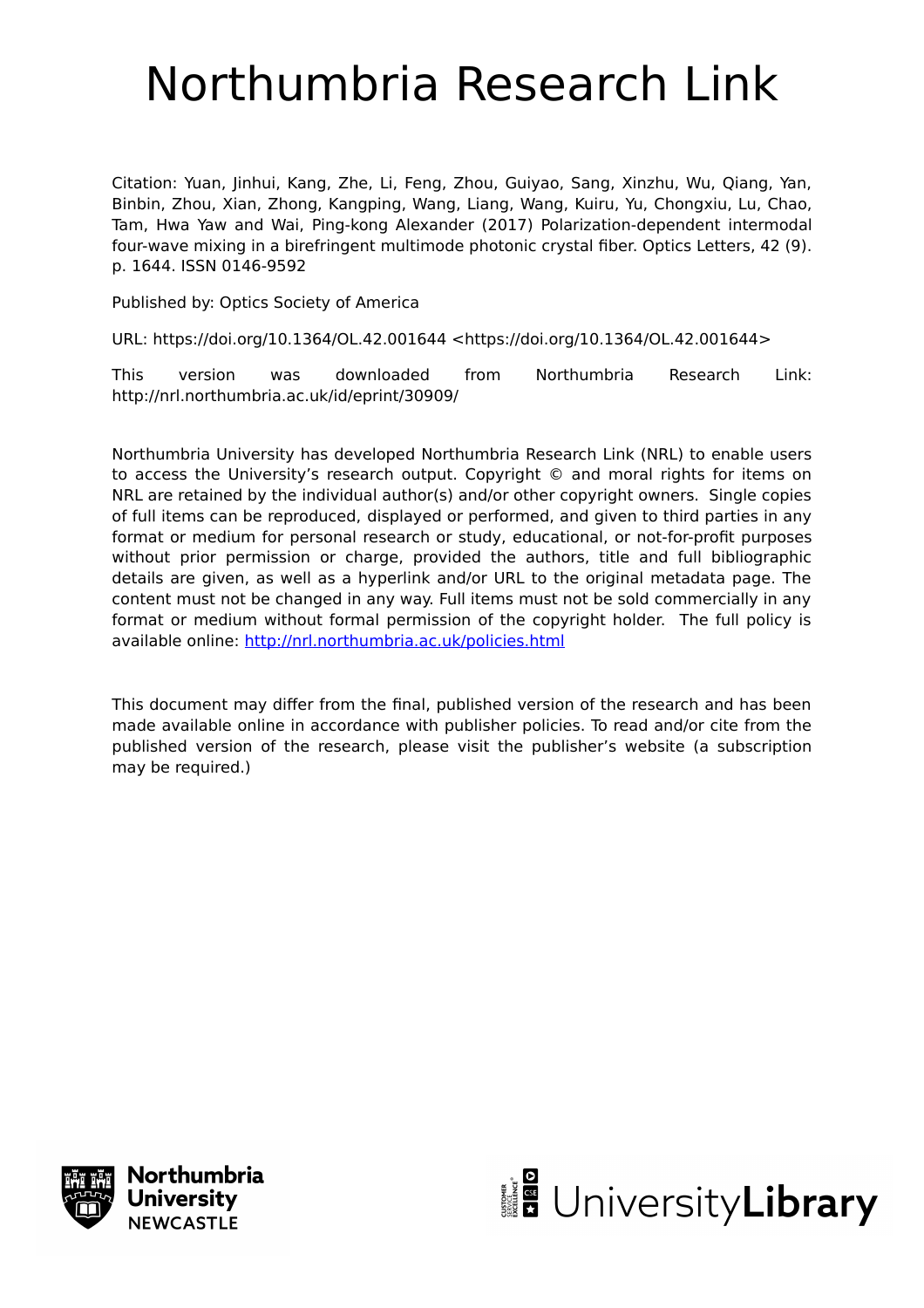## Northumbria Research Link

Citation: Yuan, Jinhui, Kang, Zhe, Li, Feng, Zhou, Guiyao, Sang, Xinzhu, Wu, Qiang, Yan, Binbin, Zhou, Xian, Zhong, Kangping, Wang, Liang, Wang, Kuiru, Yu, Chongxiu, Lu, Chao, Tam, Hwa Yaw and Wai, Ping-kong Alexander (2017) Polarization-dependent intermodal four-wave mixing in a birefringent multimode photonic crystal fiber. Optics Letters, 42 (9). p. 1644. ISSN 0146-9592

Published by: Optics Society of America

URL: https://doi.org/10.1364/OL.42.001644 <https://doi.org/10.1364/OL.42.001644>

This version was downloaded from Northumbria Research Link: http://nrl.northumbria.ac.uk/id/eprint/30909/

Northumbria University has developed Northumbria Research Link (NRL) to enable users to access the University's research output. Copyright © and moral rights for items on NRL are retained by the individual author(s) and/or other copyright owners. Single copies of full items can be reproduced, displayed or performed, and given to third parties in any format or medium for personal research or study, educational, or not-for-profit purposes without prior permission or charge, provided the authors, title and full bibliographic details are given, as well as a hyperlink and/or URL to the original metadata page. The content must not be changed in any way. Full items must not be sold commercially in any format or medium without formal permission of the copyright holder. The full policy is available online:<http://nrl.northumbria.ac.uk/policies.html>

This document may differ from the final, published version of the research and has been made available online in accordance with publisher policies. To read and/or cite from the published version of the research, please visit the publisher's website (a subscription may be required.)



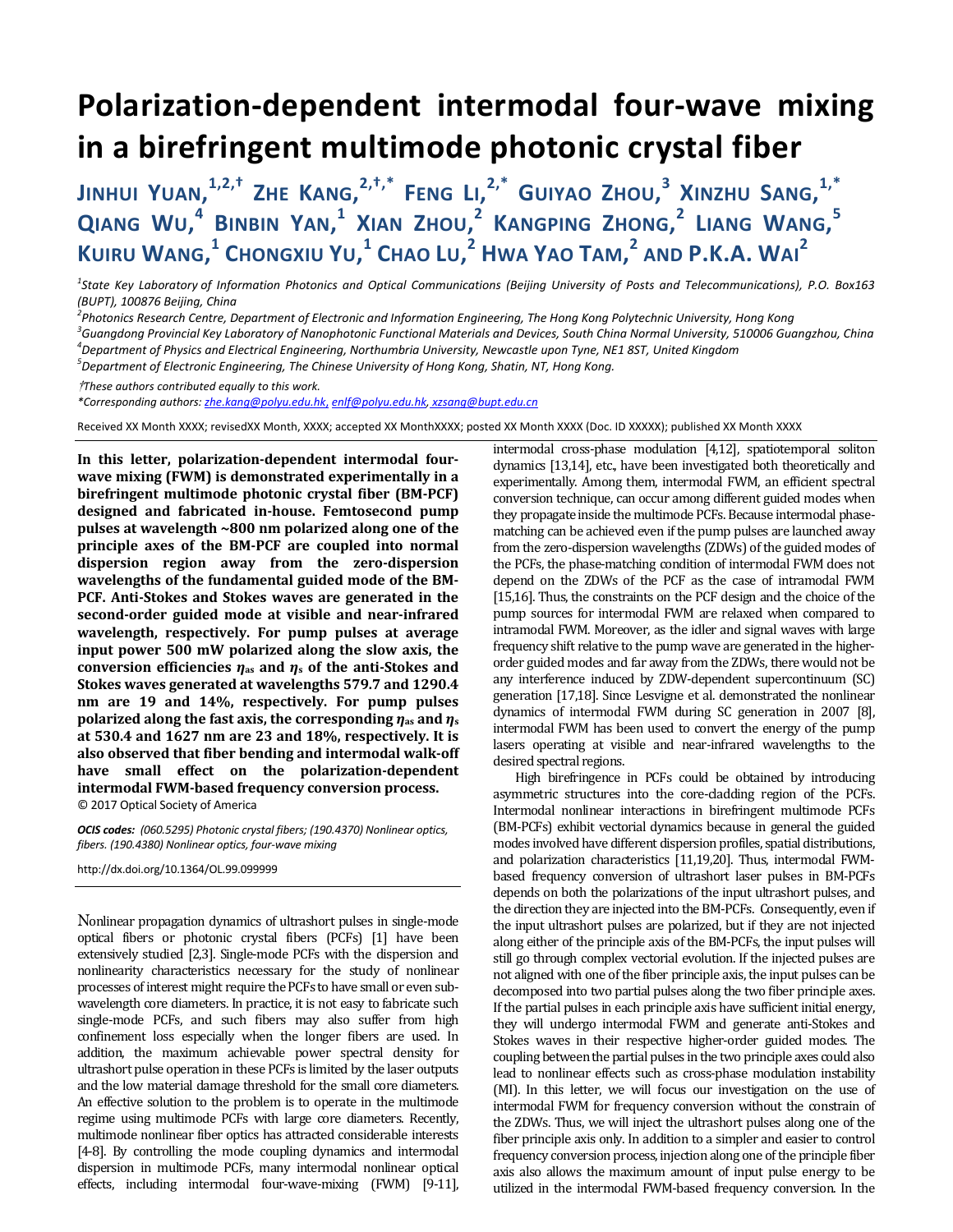## **Polarization-dependent intermodal four-wave mixing in a birefringent multimode photonic crystal fiber**

**JINHUI YUAN, 1,2,† ZHE KANG, 2,†,\* FENG LI, 2,\* GUIYAO ZHOU, <sup>3</sup> XINZHU SANG, 1,\* QIANG WU, <sup>4</sup> BINBIN YAN, <sup>1</sup> XIAN ZHOU, <sup>2</sup> KANGPING ZHONG, <sup>2</sup> LIANG WANG, 5 K**UIRU **WANG,<sup>1</sup> CHONGXIU YU,<sup>1</sup> CHAO LU,<sup>2</sup> HWA YAO TAM,<sup>2</sup> AND P.K.A. WAI<sup>2</sup>** 

*1 State Key Laboratory of Information Photonics and Optical Communications (Beijing University of Posts and Telecommunications), P.O. Box163 (BUPT), 100876 Beijing, China* 

<sup>2</sup> Photonics Research Centre, Department of Electronic and Information Engineering, The Hong Kong Polytechnic University, Hong Kong<br><sup>3</sup> Cuangdona Brovinsial Koy Laberstony of Nanophotonic Eunstianal Materials and Davises,

*Guangdong Provincial Key Laboratory of Nanophotonic Functional Materials and Devices, South China Normal University, 510006 Guangzhou, China 4*

*Department of Physics and Electrical Engineering, Northumbria University, Newcastle upon Tyne, NE1 8ST, United Kingdom 5*

*Department of Electronic Engineering, The Chinese University of Hong Kong, Shatin, NT, Hong Kong.* 

†*These authors contributed equally to this work.*

*\*Corresponding authors: zhe.kang@polyu.edu.hk*, *enlf@polyu.edu.hk, xzsang@bupt.edu.cn* 

Received XX Month XXXX; revisedXX Month, XXXX; accepted XX MonthXXXX; posted XX Month XXXX (Doc. ID XXXXX); published XX Month XXXX

**In this letter, polarization-dependent intermodal fourwave mixing (FWM) is demonstrated experimentally in a birefringent multimode photonic crystal fiber (BM-PCF) designed and fabricated in-house. Femtosecond pump pulses at wavelength ~800 nm polarized along one of the principle axes of the BM-PCF are coupled into normal dispersion region away from the zero-dispersion wavelengths of the fundamental guided mode of the BM-PCF. Anti-Stokes and Stokes waves are generated in the second-order guided mode at visible and near-infrared wavelength, respectively. For pump pulses at average input power 500 mW polarized along the slow axis, the conversion efficiencies**  $\eta$ **<sub>as</sub> and**  $\eta$ **<sub>s</sub> of the anti-Stokes and Stokes waves generated at wavelengths 579.7 and 1290.4 nm are 19 and 14%, respectively. For pump pulses polarized along the fast axis, the corresponding** *η***as and** *η***<sup>s</sup> at 530.4 and 1627 nm are 23 and 18%, respectively. It is also observed that fiber bending and intermodal walk-off have small effect on the polarization-dependent intermodal FWM-based frequency conversion process.**  © 2017 Optical Society of America

*OCIS codes: (060.5295) Photonic crystal fibers; (190.4370) Nonlinear optics, fibers. (190.4380) Nonlinear optics, four-wave mixing* 

http://dx.doi.org/10.1364/OL.99.099999

Nonlinear propagation dynamics of ultrashort pulses in single-mode optical fibers or photonic crystal fibers (PCFs) [1] have been extensively studied [2,3]. Single-mode PCFs with the dispersion and nonlinearity characteristics necessary for the study of nonlinear processes of interest might require the PCFs to have small or even subwavelength core diameters. In practice, it is not easy to fabricate such single-mode PCFs, and such fibers may also suffer from high confinement loss especially when the longer fibers are used. In addition, the maximum achievable power spectral density for ultrashort pulse operation in these PCFs is limited by the laser outputs and the low material damage threshold for the small core diameters. An effective solution to the problem is to operate in the multimode regime using multimode PCFs with large core diameters. Recently, multimode nonlinear fiber optics has attracted considerable interests [4-8]. By controlling the mode coupling dynamics and intermodal dispersion in multimode PCFs, many intermodal nonlinear optical effects, including intermodal four-wave-mixing (FWM) [9-11],

intermodal cross-phase modulation [4,12], spatiotemporal soliton dynamics [13,14], etc., have been investigated both theoretically and experimentally. Among them, intermodal FWM, an efficient spectral conversion technique, can occur among different guided modes when they propagate inside the multimode PCFs. Because intermodal phasematching can be achieved even if the pump pulses are launched away from the zero-dispersion wavelengths (ZDWs) of the guided modes of the PCFs, the phase-matching condition of intermodal FWM does not depend on the ZDWs of the PCF as the case of intramodal FWM [15,16]. Thus, the constraints on the PCF design and the choice of the pump sources for intermodal FWM are relaxed when compared to intramodal FWM. Moreover, as the idler and signal waves with large frequency shift relative to the pump wave are generated in the higherorder guided modes and far away from the ZDWs, there would not be any interference induced by ZDW-dependent supercontinuum (SC) generation [17,18]. Since Lesvigne et al. demonstrated the nonlinear dynamics of intermodal FWM during SC generation in 2007 [8], intermodal FWM has been used to convert the energy of the pump lasers operating at visible and near-infrared wavelengths to the desired spectral regions.

 High birefringence in PCFs could be obtained by introducing asymmetric structures into the core-cladding region of the PCFs. Intermodal nonlinear interactions in birefringent multimode PCFs (BM-PCFs) exhibit vectorial dynamics because in general the guided modes involved have different dispersion profiles, spatial distributions, and polarization characteristics [11,19,20]. Thus, intermodal FWMbased frequency conversion of ultrashort laser pulses in BM-PCFs depends on both the polarizations of the input ultrashort pulses, and the direction they are injected into the BM-PCFs. Consequently, even if the input ultrashort pulses are polarized, but if they are not injected along either of the principle axis of the BM-PCFs, the input pulses will still go through complex vectorial evolution. If the injected pulses are not aligned with one of the fiber principle axis, the input pulses can be decomposed into two partial pulses along the two fiber principle axes. If the partial pulses in each principle axis have sufficient initial energy, they will undergo intermodal FWM and generate anti-Stokes and Stokes waves in their respective higher-order guided modes. The coupling between the partial pulses in the two principle axes could also lead to nonlinear effects such as cross-phase modulation instability (MI). In this letter, we will focus our investigation on the use of intermodal FWM for frequency conversion without the constrain of the ZDWs. Thus, we will inject the ultrashort pulses along one of the fiber principle axis only. In addition to a simpler and easier to control frequency conversion process, injection along one of the principle fiber axis also allows the maximum amount of input pulse energy to be utilized in the intermodal FWM-based frequency conversion. In the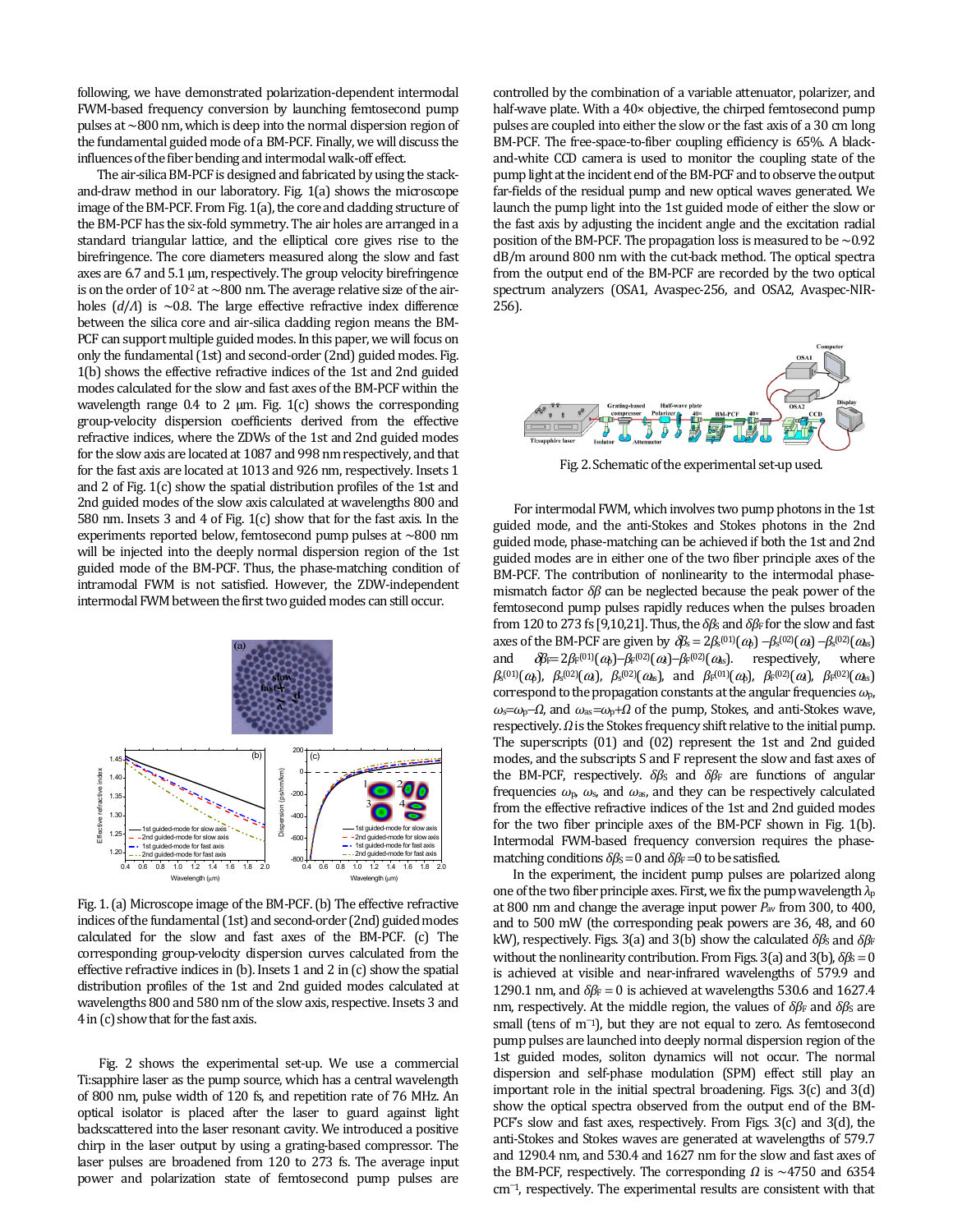following, we have demonstrated polarization-dependent intermodal FWM-based frequency conversion by launching femtosecond pump pulses at ~800 nm, which is deep into the normal dispersion region of the fundamental guided mode of a BM-PCF. Finally, we will discuss the influences of the fiber bending and intermodal walk-off effect.

The air-silica BM-PCF is designed and fabricated by using the stackand-draw method in our laboratory. Fig. 1(a) shows the microscope image of the BM-PCF. From Fig. 1(a), the core and cladding structure of the BM-PCF has the six-fold symmetry. The air holes are arranged in a standard triangular lattice, and the elliptical core gives rise to the birefringence. The core diameters measured along the slow and fast axes are 6.7 and 5.1 μm, respectively. The group velocity birefringence is on the order of  $10^{-2}$  at  $\sim$  800 nm. The average relative size of the airholes (*d*/*Λ*) is ~0.8. The large effective refractive index difference between the silica core and air-silica cladding region means the BM-PCF can support multiple guided modes. In this paper, we will focus on only the fundamental (1st) and second-order (2nd) guided modes. Fig. 1(b) shows the effective refractive indices of the 1st and 2nd guided modes calculated for the slow and fast axes of the BM-PCF within the wavelength range  $0.4$  to  $2 \mu m$ . Fig. 1(c) shows the corresponding group-velocity dispersion coefficients derived from the effective refractive indices, where the ZDWs of the 1st and 2nd guided modes for the slow axis are located at 1087 and 998 nm respectively, and that for the fast axis are located at 1013 and 926 nm, respectively. Insets 1 and 2 of Fig. 1(c) show the spatial distribution profiles of the 1st and 2nd guided modes of the slow axis calculated at wavelengths 800 and 580 nm. Insets 3 and 4 of Fig. 1(c) show that for the fast axis. In the experiments reported below, femtosecond pump pulses at ~800 nm will be injected into the deeply normal dispersion region of the 1st guided mode of the BM-PCF. Thus, the phase-matching condition of intramodal FWM is not satisfied. However, the ZDW-independent intermodal FWM between the first two guided modes can still occur.



Fig. 1. (a) Microscope image of the BM-PCF. (b) The effective refractive indices of the fundamental (1st) and second-order (2nd) guided modes calculated for the slow and fast axes of the BM-PCF. (c) The corresponding group-velocity dispersion curves calculated from the effective refractive indices in (b). Insets 1 and 2 in (c) show the spatial distribution profiles of the 1st and 2nd guided modes calculated at wavelengths 800 and 580 nm of the slow axis, respective. Insets 3 and 4 in (c) show that for the fast axis.

 Fig. 2 shows the experimental set-up. We use a commercial Ti:sapphire laser as the pump source, which has a central wavelength of 800 nm, pulse width of 120 fs, and repetition rate of 76 MHz. An optical isolator is placed after the laser to guard against light backscattered into the laser resonant cavity. We introduced a positive chirp in the laser output by using a grating-based compressor. The laser pulses are broadened from 120 to 273 fs. The average input power and polarization state of femtosecond pump pulses are

controlled by the combination of a variable attenuator, polarizer, and half-wave plate. With a 40× objective, the chirped femtosecond pump pulses are coupled into either the slow or the fast axis of a 30 cm long BM-PCF. The free-space-to-fiber coupling efficiency is 65%. A blackand-white CCD camera is used to monitor the coupling state of the pump light at the incident end of the BM-PCF and to observe the output far-fields of the residual pump and new optical waves generated. We launch the pump light into the 1st guided mode of either the slow or the fast axis by adjusting the incident angle and the excitation radial position of the BM-PCF. The propagation loss is measured to be  $\sim$  0.92 dB/m around 800 nm with the cut-back method. The optical spectra from the output end of the BM-PCF are recorded by the two optical spectrum analyzers (OSA1, Avaspec-256, and OSA2, Avaspec-NIR-256).



Fig. 2. Schematic of the experimental set-up used.

For intermodal FWM, which involves two pump photons in the 1st guided mode, and the anti-Stokes and Stokes photons in the 2nd guided mode, phase-matching can be achieved if both the 1st and 2nd guided modes are in either one of the two fiber principle axes of the BM-PCF. The contribution of nonlinearity to the intermodal phasemismatch factor *δβ* can be neglected because the peak power of the femtosecond pump pulses rapidly reduces when the pulses broaden from 120 to 273 fs [9,10,21]. Thus, the  $\delta\beta$ s and  $\delta\beta$ F for the slow and fast axes of the BM-PCF are given by  $\partial s = 2\beta s^{(01)}(\omega_b) - \beta s^{(02)}(\omega_s) - \beta s^{(02)}(\omega_s)$ and  $\delta \beta = 2 \beta_F^{(01)}(\omega_b) - \beta_F^{(02)}(\omega_b) - \beta_F^{(02)}(\omega_s)$ . respectively, where *β*<sub>s</sub><sup>(01)</sup>(ω<sub>b</sub>), *β*<sub>s</sub><sup>(02)</sup>(ω<sub>b</sub>), *β*<sub>s</sub><sup>(02)</sup>(ω<sub>b</sub>), and *β*<sub>F</sub><sup>(01)</sup>(ω<sub>b</sub>), *β*<sub>F</sub><sup>(02)</sup>(ω<sub>b</sub>), *β*<sub>F</sub><sup>(02)</sup>(ω<sub>b</sub>) correspond to the propagation constants at the angular frequencies *ω*p, *ω*<sub>s</sub>=*ω*<sub>p</sub>−*Ω*, and *ω*<sub>as</sub>=*ω*<sub>p</sub>+*Ω* of the pump, Stokes, and anti-Stokes wave, respectively. *Ω* is the Stokes frequency shift relative to the initial pump. The superscripts (01) and (02) represent the 1st and 2nd guided modes, and the subscripts S and F represent the slow and fast axes of the BM-PCF, respectively. *δβ*<sub>S</sub> and *δβ*<sub>F</sub> are functions of angular frequencies  $\omega_{p}$ ,  $\omega_{s}$ , and  $\omega_{as}$ , and they can be respectively calculated from the effective refractive indices of the 1st and 2nd guided modes for the two fiber principle axes of the BM-PCF shown in Fig. 1(b). Intermodal FWM-based frequency conversion requires the phasematching conditions  $\delta \beta_s = 0$  and  $\delta \beta_F = 0$  to be satisfied.

 In the experiment, the incident pump pulses are polarized along one of the two fiber principle axes. First, we fix the pump wavelength *λ*<sup>p</sup> at 800 nm and change the average input power *P*av from 300, to 400, and to 500 mW (the corresponding peak powers are 36, 48, and 60 kW), respectively. Figs. 3(a) and 3(b) show the calculated  $\delta$ *βs* and *δβ*F without the nonlinearity contribution. From Figs. 3(a) and 3(b),  $δβ<sub>S</sub> = 0$ is achieved at visible and near-infrared wavelengths of 579.9 and 1290.1 nm, and  $\delta \beta_F = 0$  is achieved at wavelengths 530.6 and 1627.4 nm, respectively. At the middle region, the values of  $δβ$ <sub>F</sub> and  $δβ$ <sub>S</sub> are small (tens of m<sup>-1</sup>), but they are not equal to zero. As femtosecond pump pulses are launched into deeply normal dispersion region of the 1st guided modes, soliton dynamics will not occur. The normal dispersion and self-phase modulation (SPM) effect still play an important role in the initial spectral broadening. Figs. 3(c) and 3(d) show the optical spectra observed from the output end of the BM-PCF's slow and fast axes, respectively. From Figs. 3(c) and 3(d), the anti-Stokes and Stokes waves are generated at wavelengths of 579.7 and 1290.4 nm, and 530.4 and 1627 nm for the slow and fast axes of the BM-PCF, respectively. The corresponding *Ω* is ~4750 and 6354 cm<sup>−</sup>1, respectively. The experimental results are consistent with that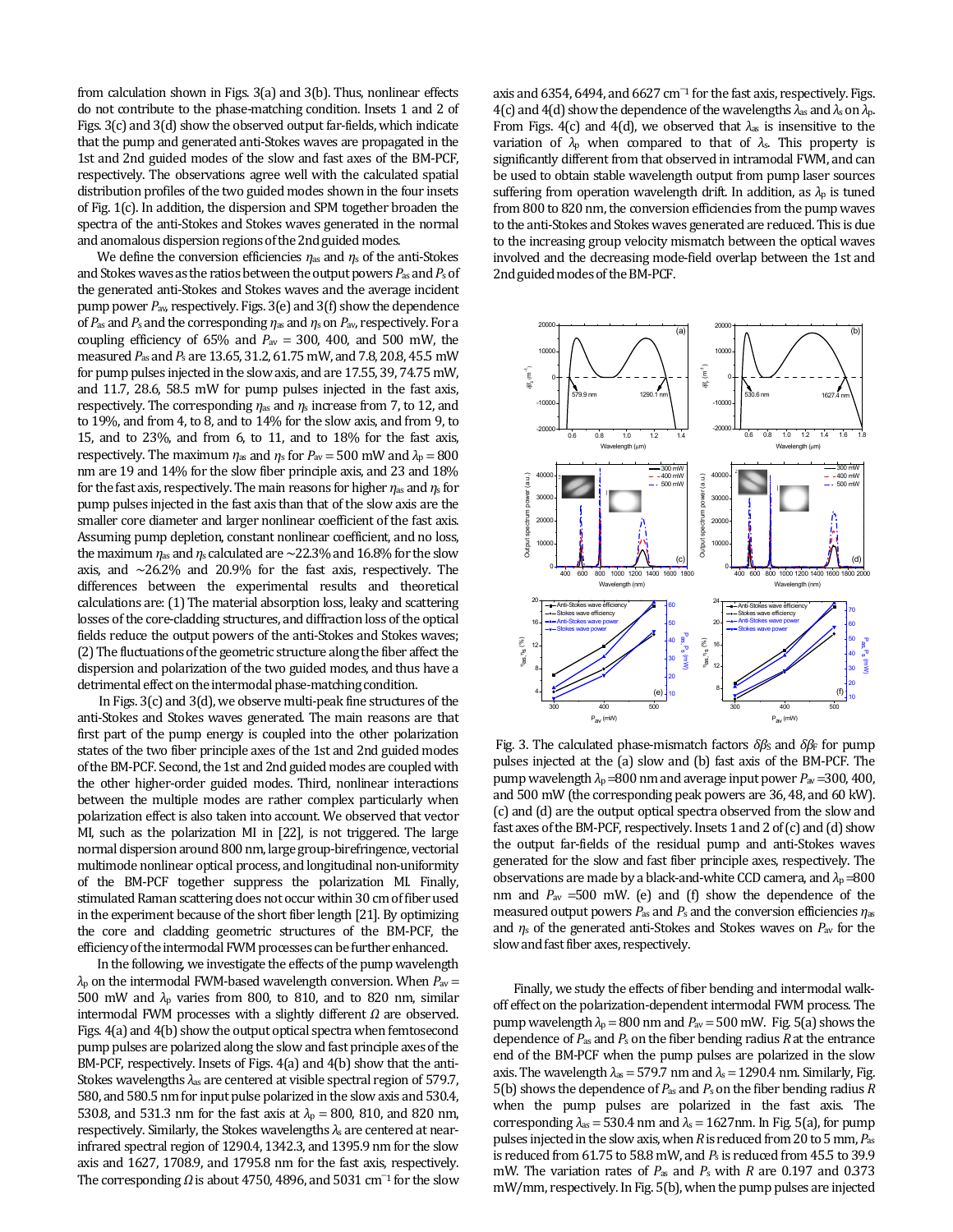from calculation shown in Figs. 3(a) and 3(b). Thus, nonlinear effects do not contribute to the phase-matching condition. Insets 1 and 2 of Figs. 3(c) and 3(d) show the observed output far-fields, which indicate that the pump and generated anti-Stokes waves are propagated in the 1st and 2nd guided modes of the slow and fast axes of the BM-PCF, respectively. The observations agree well with the calculated spatial distribution profiles of the two guided modes shown in the four insets of Fig. 1(c). In addition, the dispersion and SPM together broaden the spectra of the anti-Stokes and Stokes waves generated in the normal and anomalous dispersion regions of the 2nd guided modes.

We define the conversion efficiencies *η*as and *η*s of the anti-Stokes and Stokes waves as the ratios between the output powers *P*as and *P*s of the generated anti-Stokes and Stokes waves and the average incident pump power *P*av, respectively. Figs. 3(e) and 3(f) show the dependence of *P*as and *P*s and the corresponding *η*as and *η*s on *P*av, respectively. For a coupling efficiency of  $65\%$  and  $P_{\text{av}} = 300$ , 400, and 500 mW, the measured *P*as and *P*s are 13.65, 31.2, 61.75 mW, and 7.8, 20.8, 45.5 mW for pump pulses injected in the slow axis, and are 17.55, 39, 74.75 mW, and 11.7, 28.6, 58.5 mW for pump pulses injected in the fast axis, respectively. The corresponding *η*as and *η*s increase from 7, to 12, and to 19%, and from 4, to 8, and to 14% for the slow axis, and from 9, to 15, and to 23%, and from 6, to 11, and to 18% for the fast axis, respectively. The maximum  $\eta_{\text{as}}$  and  $\eta_{\text{s}}$  for  $P_{\text{av}} = 500$  mW and  $\lambda_{\text{p}} = 800$ nm are 19 and 14% for the slow fiber principle axis, and 23 and 18% for the fast axis, respectively. The main reasons for higher *η*as and *η*s for pump pulses injected in the fast axis than that of the slow axis are the smaller core diameter and larger nonlinear coefficient of the fast axis. Assuming pump depletion, constant nonlinear coefficient, and no loss, the maximum  $\eta_{\text{as}}$  and  $\eta_{\text{s}}$  calculated are  $\sim$ 22.3% and 16.8% for the slow axis, and  $\sim$ 26.2% and 20.9% for the fast axis, respectively. The differences between the experimental results and theoretical calculations are: (1) The material absorption loss, leaky and scattering losses of the core-cladding structures, and diffraction loss of the optical fields reduce the output powers of the anti-Stokes and Stokes waves; (2) The fluctuations of the geometric structure along the fiber affect the dispersion and polarization of the two guided modes, and thus have a detrimental effect on the intermodal phase-matching condition.

 In Figs. 3(c) and 3(d), we observe multi-peak fine structures of the anti-Stokes and Stokes waves generated. The main reasons are that first part of the pump energy is coupled into the other polarization states of the two fiber principle axes of the 1st and 2nd guided modes of the BM-PCF. Second, the 1st and 2nd guided modes are coupled with the other higher-order guided modes. Third, nonlinear interactions between the multiple modes are rather complex particularly when polarization effect is also taken into account. We observed that vector MI, such as the polarization MI in [22], is not triggered. The large normal dispersion around 800 nm, large group-birefringence, vectorial multimode nonlinear optical process, and longitudinal non-uniformity of the BM-PCF together suppress the polarization MI. Finally, stimulated Raman scattering does not occur within 30 cm of fiber used in the experiment because of the short fiber length [21]. By optimizing the core and cladding geometric structures of the BM-PCF, the efficiency of the intermodal FWM processes can be further enhanced.

In the following, we investigate the effects of the pump wavelength *λ*p on the intermodal FWM-based wavelength conversion. When *P*av = 500 mW and *λ*p varies from 800, to 810, and to 820 nm, similar intermodal FWM processes with a slightly different *Ω* are observed. Figs. 4(a) and 4(b) show the output optical spectra when femtosecond pump pulses are polarized along the slow and fast principle axes of the BM-PCF, respectively. Insets of Figs. 4(a) and 4(b) show that the anti-Stokes wavelengths *λ*as are centered at visible spectral region of 579.7, 580, and 580.5 nm for input pulse polarized in the slow axis and 530.4, 530.8, and 531.3 nm for the fast axis at  $\lambda_p = 800$ , 810, and 820 nm, respectively. Similarly, the Stokes wavelengths *λ*s are centered at nearinfrared spectral region of 1290.4, 1342.3, and 1395.9 nm for the slow axis and 1627, 1708.9, and 1795.8 nm for the fast axis, respectively. The corresponding  $\Omega$  is about 4750, 4896, and 5031 cm<sup>-1</sup> for the slow

axis and 6354, 6494, and 6627 cm<sup>-1</sup> for the fast axis, respectively. Figs. 4(c) and 4(d) show the dependence of the wavelengths *λ*as and *λ*s on *λ*p. From Figs. 4(c) and 4(d), we observed that  $\lambda_{\text{as}}$  is insensitive to the variation of  $\lambda_p$  when compared to that of  $\lambda_s$ . This property is significantly different from that observed in intramodal FWM, and can be used to obtain stable wavelength output from pump laser sources suffering from operation wavelength drift. In addition, as  $\lambda_p$  is tuned from 800 to 820 nm, the conversion efficiencies from the pump waves to the anti-Stokes and Stokes waves generated are reduced. This is due to the increasing group velocity mismatch between the optical waves involved and the decreasing mode-field overlap between the 1st and 2nd guided modes of the BM-PCF.



Fig. 3. The calculated phase-mismatch factors  $δβ<sub>S</sub>$  and  $δβ<sub>F</sub>$  for pump pulses injected at the (a) slow and (b) fast axis of the BM-PCF. The pump wavelength  $\lambda_p$  =800 nm and average input power  $P_{av}$  =300, 400, and 500 mW (the corresponding peak powers are 36, 48, and 60 kW). (c) and (d) are the output optical spectra observed from the slow and fast axes of the BM-PCF, respectively. Insets 1 and 2 of (c) and (d) show the output far-fields of the residual pump and anti-Stokes waves generated for the slow and fast fiber principle axes, respectively. The observations are made by a black-and-white CCD camera, and *λ*<sup>p</sup> =800 nm and *P*av =500 mW. (e) and (f) show the dependence of the measured output powers  $P_{\text{as}}$  and  $P_{\text{s}}$  and the conversion efficiencies  $\eta_{\text{as}}$ and *η*s of the generated anti-Stokes and Stokes waves on *P*av for the slow and fast fiber axes, respectively.

Finally, we study the effects of fiber bending and intermodal walkoff effect on the polarization-dependent intermodal FWM process. The pump wavelength  $\lambda_p = 800$  nm and  $P_{av} = 500$  mW. Fig. 5(a) shows the dependence of *P*as and *P*s on the fiber bending radius *R* at the entrance end of the BM-PCF when the pump pulses are polarized in the slow axis. The wavelength  $\lambda$ <sub>s</sub> = 579.7 nm and  $\lambda$ <sub>s</sub> = 1290.4 nm. Similarly, Fig. 5(b) shows the dependence of  $P_{\text{as}}$  and  $P_{\text{s}}$  on the fiber bending radius  $R$ when the pump pulses are polarized in the fast axis. The corresponding  $\lambda_{as}$  = 530.4 nm and  $\lambda_s$  = 1627nm. In Fig. 5(a), for pump pulses injected in the slow axis, when *R* is reduced from 20 to 5 mm, *P*as is reduced from 61.75 to 58.8 mW, and *P*s is reduced from 45.5 to 39.9 mW. The variation rates of *P*as and *P*s with *R* are 0.197 and 0.373 mW/mm, respectively. In Fig. 5(b), when the pump pulses are injected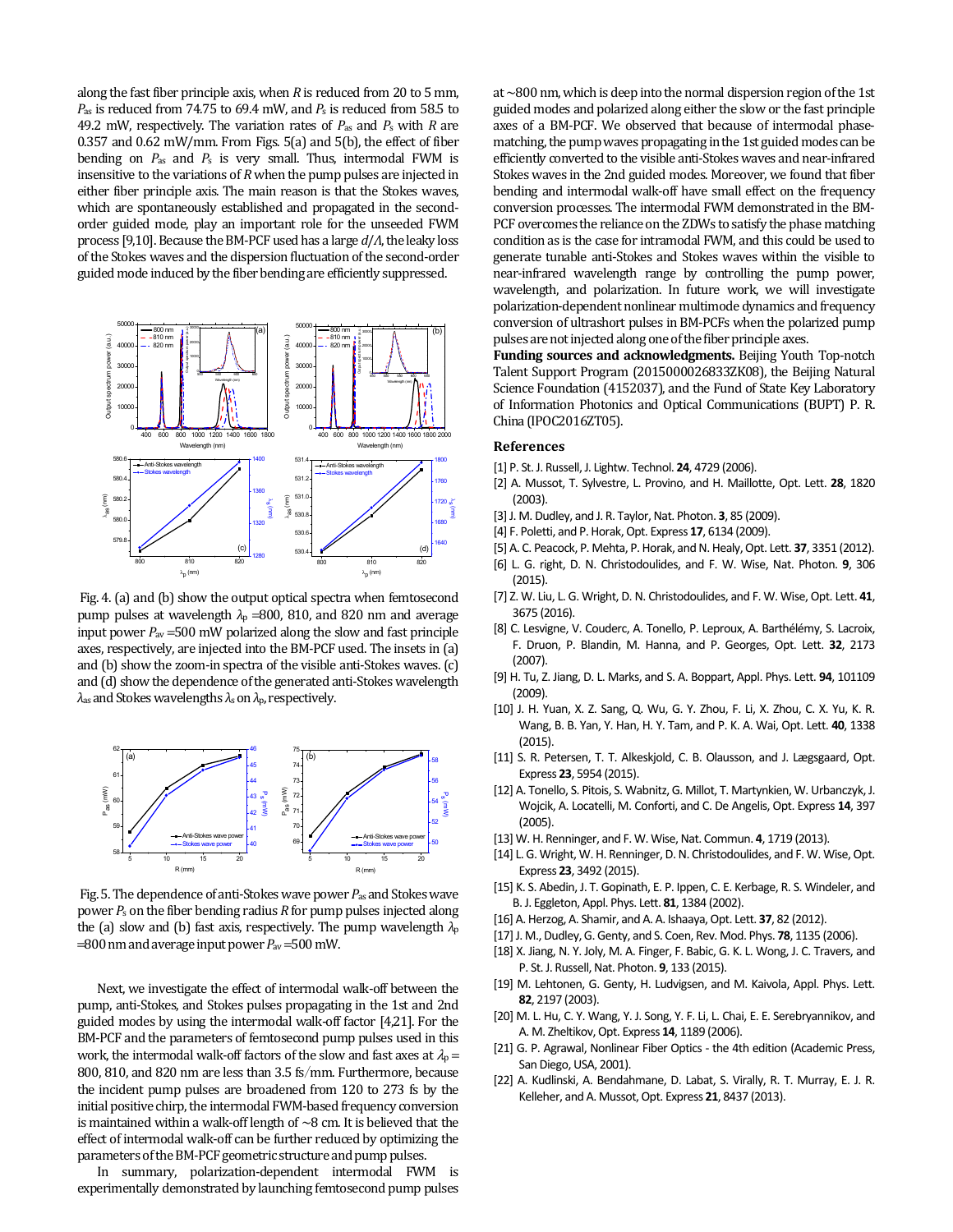along the fast fiber principle axis, when *R* is reduced from 20 to 5 mm, *P*as is reduced from 74.75 to 69.4 mW, and *P*s is reduced from 58.5 to 49.2 mW, respectively. The variation rates of *P*as and *P*s with *R* are 0.357 and 0.62 mW/mm. From Figs. 5(a) and 5(b), the effect of fiber bending on *P*as and *P*s is very small. Thus, intermodal FWM is insensitive to the variations of *R* when the pump pulses are injected in either fiber principle axis. The main reason is that the Stokes waves, which are spontaneously established and propagated in the secondorder guided mode, play an important role for the unseeded FWM process [9,10]. Because the BM-PCF used has a large *d*/*Λ*, the leaky loss of the Stokes waves and the dispersion fluctuation of the second-order guided mode induced by the fiber bending are efficiently suppressed.



 Fig. 4. (a) and (b) show the output optical spectra when femtosecond pump pulses at wavelength  $\lambda_p$  =800, 810, and 820 nm and average input power  $P_{av}$  =500 mW polarized along the slow and fast principle axes, respectively, are injected into the BM-PCF used. The insets in (a) and (b) show the zoom-in spectra of the visible anti-Stokes waves. (c) and (d) show the dependence of the generated anti-Stokes wavelength *λ*as and Stokes wavelengths *λ*s on *λ*p, respectively.



 Fig. 5. The dependence of anti-Stokes wave power *P*as and Stokes wave power *P*s on the fiber bending radius *R* for pump pulses injected along the (a) slow and (b) fast axis, respectively. The pump wavelength *λ*<sup>p</sup>  $=800$  nm and average input power  $P_{\text{av}}=500$  mW.

Next, we investigate the effect of intermodal walk-off between the pump, anti-Stokes, and Stokes pulses propagating in the 1st and 2nd guided modes by using the intermodal walk-off factor [4,21]. For the BM-PCF and the parameters of femtosecond pump pulses used in this work, the intermodal walk-off factors of the slow and fast axes at  $\lambda_0 =$ 800, 810, and 820 nm are less than 3.5 fs/mm. Furthermore, because the incident pump pulses are broadened from 120 to 273 fs by the initial positive chirp, the intermodal FWM-based frequency conversion is maintained within a walk-off length of  $\sim$ 8 cm. It is believed that the effect of intermodal walk-off can be further reduced by optimizing the parameters of the BM-PCF geometric structure and pump pulses.

In summary, polarization-dependent intermodal FWM is experimentally demonstrated by launching femtosecond pump pulses at ~800 nm, which is deep into the normal dispersion region of the 1st guided modes and polarized along either the slow or the fast principle axes of a BM-PCF. We observed that because of intermodal phasematching, the pump waves propagating in the 1st guided modes can be efficiently converted to the visible anti-Stokes waves and near-infrared Stokes waves in the 2nd guided modes. Moreover, we found that fiber bending and intermodal walk-off have small effect on the frequency conversion processes. The intermodal FWM demonstrated in the BM-PCF overcomes the reliance on the ZDWs to satisfy the phase matching condition as is the case for intramodal FWM, and this could be used to generate tunable anti-Stokes and Stokes waves within the visible to near-infrared wavelength range by controlling the pump power, wavelength, and polarization. In future work, we will investigate polarization-dependent nonlinear multimode dynamics and frequency conversion of ultrashort pulses in BM-PCFs when the polarized pump pulses are not injected along one of the fiber principle axes.

**Funding sources and acknowledgments.** Beijing Youth Top-notch Talent Support Program (2015000026833ZK08), the Beijing Natural Science Foundation (4152037), and the Fund of State Key Laboratory of Information Photonics and Optical Communications (BUPT) P. R. China (IPOC2016ZT05).

## **References**

- [1] P. St. J. Russell, J. Lightw. Technol. **24**, 4729 (2006).
- [2] A. Mussot, T. Sylvestre, L. Provino, and H. Maillotte, Opt. Lett. **28**, 1820 (2003).
- [3] J. M. Dudley, and J. R. Taylor, Nat. Photon. **3**, 85 (2009).
- [4] F. Poletti, and P. Horak, Opt. Express **17**, 6134 (2009).
- [5] A. C. Peacock, P. Mehta, P. Horak, and N. Healy, Opt. Lett. **37**, 3351 (2012).
- [6] L. G. right, D. N. Christodoulides, and F. W. Wise, Nat. Photon. **9**, 306 (2015).
- [7] Z. W. Liu, L. G. Wright, D. N. Christodoulides, and F. W. Wise, Opt. Lett. **41**, 3675 (2016).
- [8] C. Lesvigne, V. Couderc, A. Tonello, P. Leproux, A. Barthélémy, S. Lacroix, F. Druon, P. Blandin, M. Hanna, and P. Georges, Opt. Lett. **32**, 2173 (2007).
- [9] H. Tu, Z. Jiang, D. L. Marks, and S. A. Boppart, Appl. Phys. Lett. **94**, 101109 (2009).
- [10] J. H. Yuan, X. Z. Sang, Q. Wu, G. Y. Zhou, F. Li, X. Zhou, C. X. Yu, K. R. Wang, B. B. Yan, Y. Han, H. Y. Tam, and P. K. A. Wai, Opt. Lett. **40**, 1338 (2015).
- [11] S. R. Petersen, T. T. Alkeskjold, C. B. Olausson, and J. Lægsgaard, Opt. Express **23**, 5954 (2015).
- [12] A. Tonello, S. Pitois, S. Wabnitz, G. Millot, T. Martynkien, W. Urbanczyk, J. Wojcik, A. Locatelli, M. Conforti, and C. De Angelis, Opt. Express **14**, 397 (2005).
- [13] W. H. Renninger, and F. W. Wise, Nat. Commun. **4**, 1719 (2013).
- [14] L. G. Wright, W. H. Renninger, D. N. Christodoulides, and F. W. Wise, Opt. Express **23**, 3492 (2015).
- [15] K. S. Abedin, J. T. Gopinath, E. P. Ippen, C. E. Kerbage, R. S. Windeler, and B. J. Eggleton, Appl. Phys. Lett. **81**, 1384 (2002).
- [16] A. Herzog, A. Shamir, and A. A. Ishaaya, Opt. Lett. **37**, 82 (2012).
- [17] J. M., Dudley, G. Genty, and S. Coen, Rev. Mod. Phys. **78**, 1135 (2006).
- [18] X. Jiang, N. Y. Joly, M. A. Finger, F. Babic, G. K. L. Wong, J. C. Travers, and P. St. J. Russell, Nat. Photon. **9**, 133 (2015).
- [19] M. Lehtonen, G. Genty, H. Ludvigsen, and M. Kaivola, Appl. Phys. Lett. **82**, 2197 (2003).
- [20] M. L. Hu, C. Y. Wang, Y. J. Song, Y. F. Li, L. Chai, E. E. Serebryannikov, and A. M. Zheltikov, Opt. Express **14**, 1189 (2006).
- [21] G. P. Agrawal, Nonlinear Fiber Optics the 4th edition (Academic Press, San Diego, USA, 2001).
- [22] A. Kudlinski, A. Bendahmane, D. Labat, S. Virally, R. T. Murray, E. J. R. Kelleher, and A. Mussot, Opt. Express **21**, 8437 (2013).